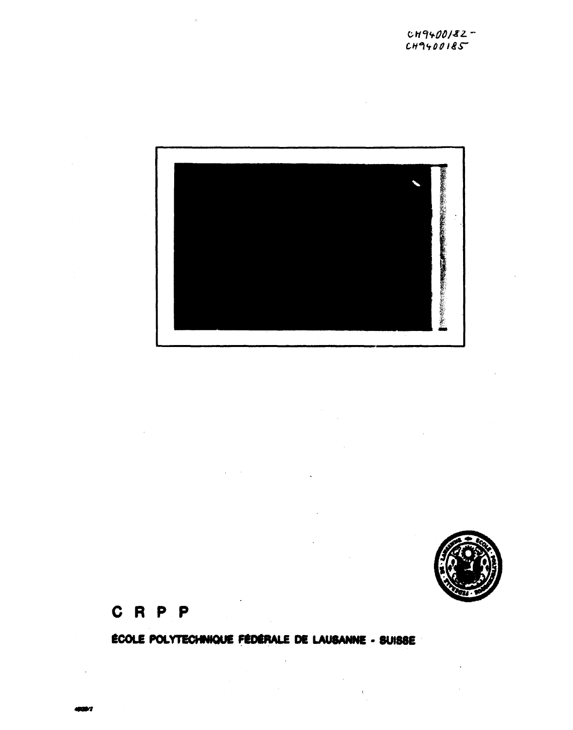



# **C R P P**

**ECOU POLYTECHNKHJE FEDERALS DE LAUSANNE • SUIS8E** 

 $\ddot{\phantom{a}}$ 

 $\sim$   $\sim$ 

 $\bar{\chi}$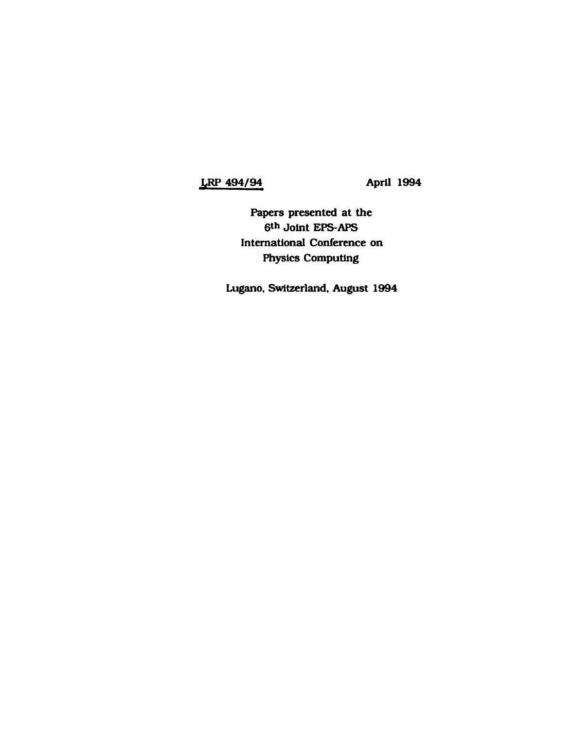## **LRP 494/94 April 1994**

**Papers presented at the 6 th Joint EPS-APS International Conference on Physics Computing** 

**Lugano. Switzerland. August 1994**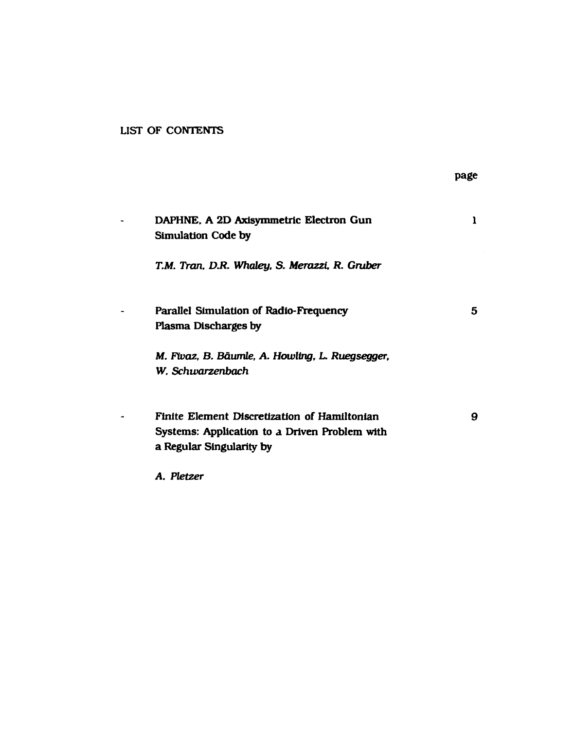### **LIST OF CONTENTS**

|                                                                                                                           | page |
|---------------------------------------------------------------------------------------------------------------------------|------|
| DAPHNE, A 2D Axisymmetric Electron Gun<br><b>Simulation Code by</b>                                                       | 1    |
| T.M. Tran, D.R. Whaley, S. Merazzi, R. Gruber                                                                             |      |
| Parallel Simulation of Radio-Frequency<br>Plasma Discharges by                                                            | 5    |
| M. Fivaz, B. Bäumle, A. Howling, L. Ruegsegger,<br>W. Schwarzenbach                                                       |      |
| Finite Element Discretization of Hamiltonian<br>Systems: Application to a Driven Problem with<br>a Regular Singularity by | 9    |
| A. Pletzer                                                                                                                |      |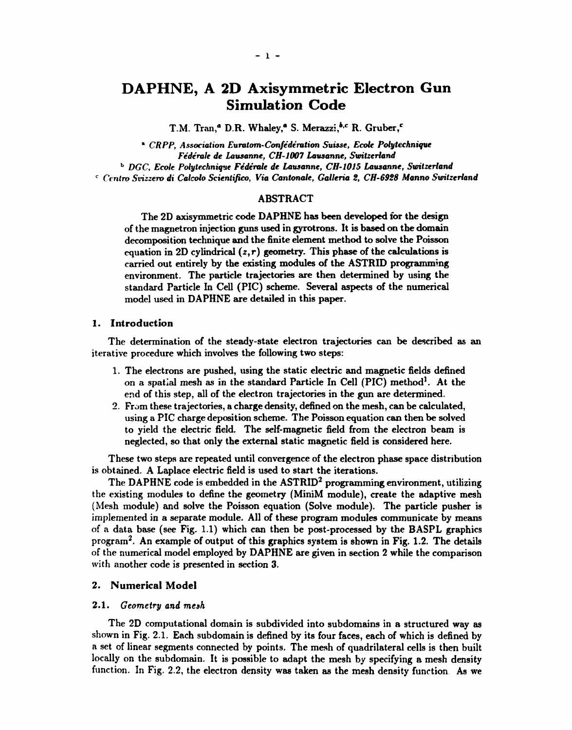## **DAPHNE, A 2D Axisymmetric Electron Gun Simulation Code**

T.M. Tran,<sup>a</sup> D.R. Whaley,<sup>a</sup> S. Merazzi,<sup>b,c</sup> R. Gruber,<sup>c</sup>

" *CRPP, Association Euratom-Confe'deration Suisse, Ecole Polytechnique Federate de Lausanne, CH-1007 Lausanne, Switzerland*  b  *DGC, Ecole Polytechnique Federate de Lausanne, CH-101S Lausanne, Switzerland*  <sup>c</sup> Centro Svizzero di Calcolo Scientifico, Via Cantonale, Galleria 2, CH-6928 Manno Switzerland

#### ABSTRACT

The 2D axisymmetric code DAPHNE has been developed for the design of the magnetron injection guns used in gyrotrons. It is based on the domain decomposition technique and the finite element method to solve the Poisson equation in 2D cylindrical  $(z,r)$  geometry. This phase of the calculations is carried out entirely by the existing modules of the ASTRID programming environment. The particle trajectories are then determined by using the standard Particle In Cell (PIC) scheme. Several aspects of the numerical model used in DAPHNE are detailed in this paper.

#### **1. Introduction**

The determination of the steady-state electron trajectories can be described as an iterative procedure which involves the following two steps:

- 1. The electrons are pushed, using the static electric and magnetic fields defined on a spatial mesh as in the standard Particle In Cell (PIC) method<sup>1</sup>. At the end of this step, all of the electron trajectories in the gun are determined.
- 2. From these trajectories, a charge density, defined on the mesh, can be calculated, using a PIC charge deposition scheme. The Poisson equation can then be solved to yield the electric field. The self-magnetic field from the electron beam is neglected, so that only the external static magnetic field is considered here.

These two steps are repeated until convergence of the electron phase space distribution is obtained. A Laplace electric field is used to start the iterations.

The DAPHNE code is embedded in the ASTRID<sup>2</sup> programming environment, utilizing the existing modules to define the geometry (MiniM module), create the adaptive mesh (Mesh module) and solve the Poisson equation (Solve module). The particle pusher is implemented in a separate module. All of these program modules communicate by means of a data base (see Fig. 1.1) which can then be post-processed by the BASPL graphics program<sup>2</sup>. An example of output of this graphics system is shown in Fig. 1.2. The details of the numerical model employed by DAPHNE are given in section 2 while the comparison with another code is presented in section 3.

#### 2. **Numerical Model**

#### 2.1. *Geometry and mesh*

The 2D computational domain is subdivided into subdomains in a structured way as shown in Fig. 2.1. Each subdomain is defined by its four faces, each of which is defined by a set of linear segments connected by points. The mesh of quadrilateral cells is then built locally on the subdomain. It is possible to adapt the mesh by specifying a mesh density function. In Fig. 2.2, the electron density was taken as the mesh density function As we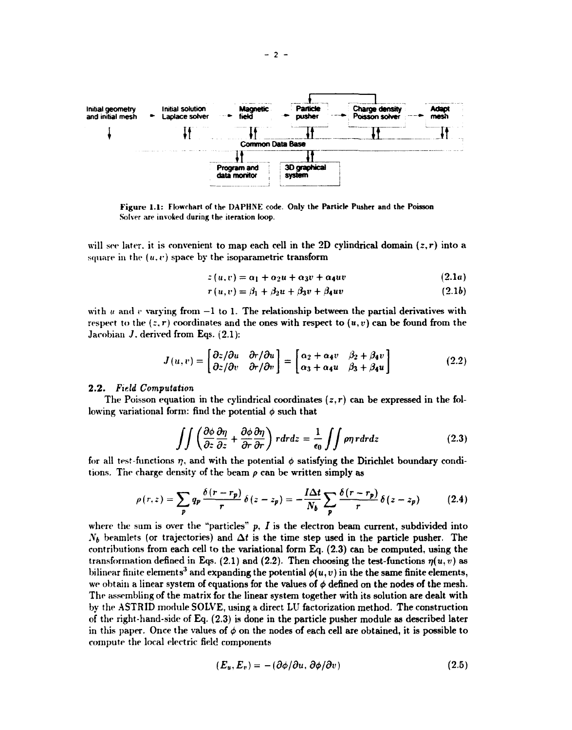

**Figure 1.1:** Flowchart of the DAPHNE code. **Only the Particle Pusher and the Poisson**  Solver are invoked during the iteration loop.

will see later, it is convenient to map each cell in the 2D cylindrical domain *(z,r)* into a square in the  $(u, v)$  space by the isoparametric transform

$$
z(u,v) = \alpha_1 + \alpha_2 u + \alpha_3 v + \alpha_4 u v \qquad (2.1a)
$$

$$
r(u,v) = \beta_1 + \beta_2 u + \beta_3 v + \beta_4 u v \qquad (2.1b)
$$

with  $u$  and  $v$  varying from  $-1$  to 1. The relationship between the partial derivatives with respect to the  $(z, r)$  coordinates and the ones with respect to  $(u, v)$  can be found from the Jarobian *J.* derived from Eqs. (2.1):

$$
J(u,v) = \begin{bmatrix} \partial z/\partial u & \partial r/\partial u \\ \partial z/\partial v & \partial r/\partial v \end{bmatrix} = \begin{bmatrix} \alpha_2 + \alpha_4 v & \beta_2 + \beta_4 v \\ \alpha_3 + \alpha_4 u & \beta_3 + \beta_4 u \end{bmatrix}
$$
 (2.2)

#### 2.2. *Field Computation*

The Poisson equation in the cylindrical coordinates  $(z,r)$  can be expressed in the following variational form: find the potential  $\phi$  such that

$$
\int \int \left( \frac{\partial \phi}{\partial z} \frac{\partial \eta}{\partial z} + \frac{\partial \phi}{\partial r} \frac{\partial \eta}{\partial r} \right) r dr dz = \frac{1}{\epsilon_0} \int \int \rho \eta r dr dz \qquad (2.3)
$$

for all test-functions  $\eta$ , and with the potential  $\phi$  satisfying the Dirichlet boundary conditions. The charge density of the beam *p* can be written simply as

$$
\rho(r,z) = \sum_{p} q_p \frac{\delta(r-r_p)}{r} \delta(z-z_p) = -\frac{I\Delta t}{N_b} \sum_{p} \frac{\delta(r-r_p)}{r} \delta(z-z_p) \tag{2.4}
$$

where the sum is over the "particles"  $p$ ,  $I$  is the electron beam current, subdivided into  $N_b$  beamlets (or trajectories) and  $\Delta t$  is the time step used in the particle pusher. The contributions from each cell to the variational form Eq. (2.3) can be computed, using the transformation defined in Eqs. (2.1) and (2.2). Then choosing the test-functions  $\eta(u,v)$  as bilinear finite elements<sup>3</sup> and expanding the potential  $\phi(u,v)$  in the the same finite elements, we obtain a linear system of equations for the values of  $\phi$  defined on the nodes of the mesh. The assembling of the matrix for the linear system together with its solution are dealt with by the ASTRID module SOLVE, using a direct LU factorization method. The construction of the right-hand-side of Eq. (2.3) is done in the particle pusher module as described later in this paper. Once the values of  $\phi$  on the nodes of each cell are obtained, it is possible to compute the local electric field components

$$
(\boldsymbol{E}_u, \boldsymbol{E}_v) = -(\partial \phi / \partial u, \partial \phi / \partial v) \qquad (2.5)
$$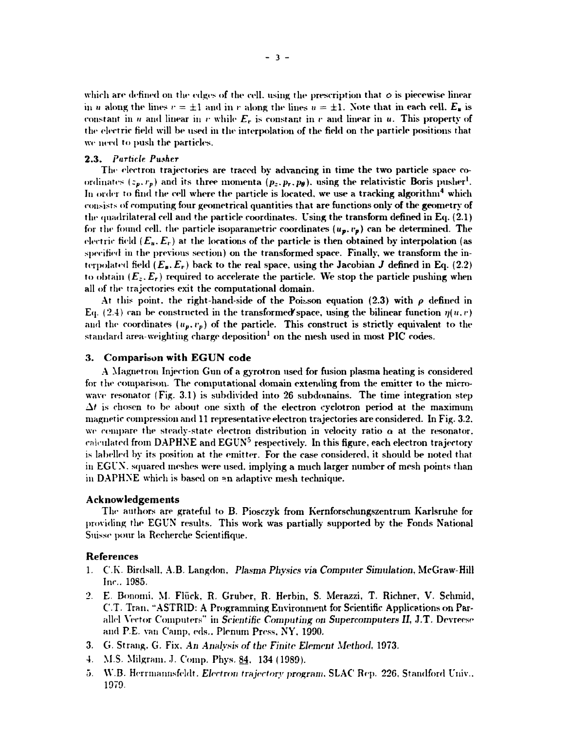which are defined on the edges of the cell, using the prescription that  $\phi$  is piecewise linear in *u* along the lines  $r = \pm 1$  and in *r* along the lines  $u = \pm 1$ . Note that in each cell.  $E_{\rm g}$  is constant in  $u$  and linear in  $v$  while  $E_v$  is constant in  $v$  and linear in  $u$ . This property of the electric field will be used in the interpolation of the field on the particle positions that we need to push the particles.

#### 2.3. *Particle. Pusher*

The electron trajectories are traced by advancing in time the two particle space coordinates  $(z_p, r_p)$  and its three momenta  $(p_z, p_r, p_\theta)$ , using the relativistic Boris pusher<sup>1</sup>. In order to find the cell where the particle is located, we use a tracking algorithm $^{\bf 4}$  which consists of computing four geometrical quantities that are functions only of the geometry of the quadrilateral cell and the particle coordinates. Using the transform defined in Eq. (2.1) for the found cell, the particle isoparametric coordinates *(up,vp)* can be determined. The electric field  $(E_{\mu}, E_{\nu})$  at the locations of the particle is then obtained by interpolation (as specified in the previous section) on the transformed space. Finally, we transform the interpolated field  $(E_{\mathbf{z}}, E_{\mathbf{r}})$  back to the real space, using the Jacobian *J* defined in Eq. (2.2) to obtain  $(E_z, E_r)$  required to accelerate the particle. We stop the particle pushing when all of the trajectories exit the computational domain.

At this point, the right-hand-side of the Poisson equation  $(2.3)$  with  $\rho$  defined in Eq. (2.4) can be constructed in the transformed space, using the bilinear function  $\eta(u,v)$ and the coordinates  $(u_p, v_p)$  of the particle. This construct is strictly equivalent to the  $\operatorname{standard}$  area-weighting charge deposition $^1$  on the mesh used in most PIC codes.

#### **3. Comparison with EGUN code**

A Magnetron Injection Gun of a gyrotron used for fusion plasma heating is considered for the comparison. The computational domain extending from the emitter to the microwave resonator (Fig. 3.1) is subdivided into 26 subdomains. The time integration step  $\Delta t$  is chosen to be about one sixth of the electron cyclotron period at the maximum magnetic compression and 11 representative electron trajectories are considered. In Fig. 3.2, we compare the steady-state electron distribution in velocity ratio  $\alpha$  at the resonator, calculated from DAPHNE and EGUN $^5$  respectively. In this figure, each electron trajectory is labelled by its position at the emitter. For the case considered, it should be noted that in EGUN. squared meshes were used, implying a much larger number of mesh points than in DAPHNE which is based on »n adaptive mesh technique.

#### **Acknowledgements**

The authors are grateful to B. Piosczyk from Kernforschungszentrum Karlsruhe for providing the EGUN results. This work was partially supported by the Fonds National Suisse pour la Recherche Scientifique.

#### **References**

- 1. C.K. Birdsall, A.B. Langdon. *Plasma Physics via Computer Simulation,* McGraw-Hill Inc.. 1985.
- 2. E. Bonorni. M. Fliick, R. Gruber, R. Herbin, S. Merazzi, T. Richner, V. Schmid, C.T. Tran, "ASTRID: A Programming Environment for Scientific Applications on Parallel Wet or Computers" in *Scientific Computing on Supercomputers II,* J.T. Dcvreese and P.E. van Camp, eds.. Plenum Press. NY, 1990.
- 3. G. Strang. G. Fix, *An Analysis of the Finite Element Method,* 1973.
- 4. M.S. Milgram. J. Comp. Phys. 84, 134 (1989).
- 5. VV.B. Herrmannsfeldt. *Electron trajectory program,* SLAC Rep. 226, Standford Univ.. 1979.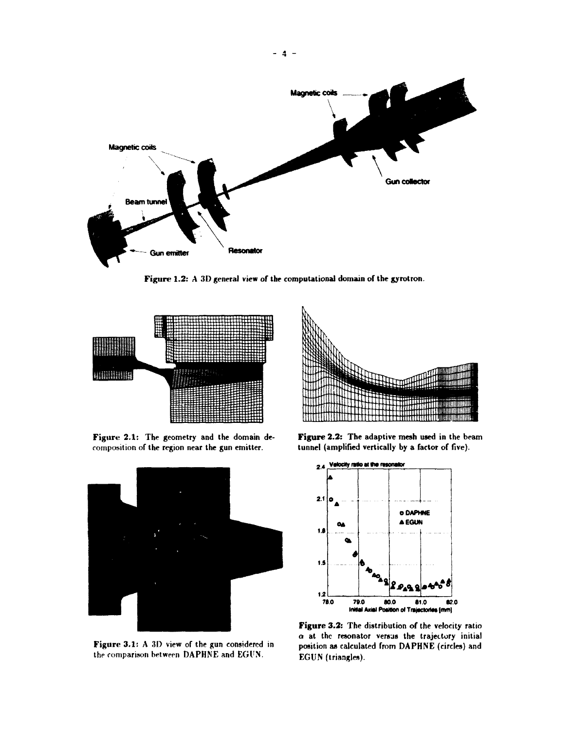

Figure 1.2: A 3D general view of the computational domain of the gyrotron.



Figure 2.1: The geometry and the domain decomposition of the region near the gun emitter.



Figure 3.1: A 3D view of the gun considered in the comparison between DAPHNE and EGl'N.



**Figure 2.2:** The adaptive mesh used in the beam tunnel (amplified vertically by a factor of five).



**Figure 3.2:** The distribution of the velocity ratio  $\alpha$  at the resonator versus the trajectory initial position as calculated from DAPHNE (circles) and EGUN (triangles).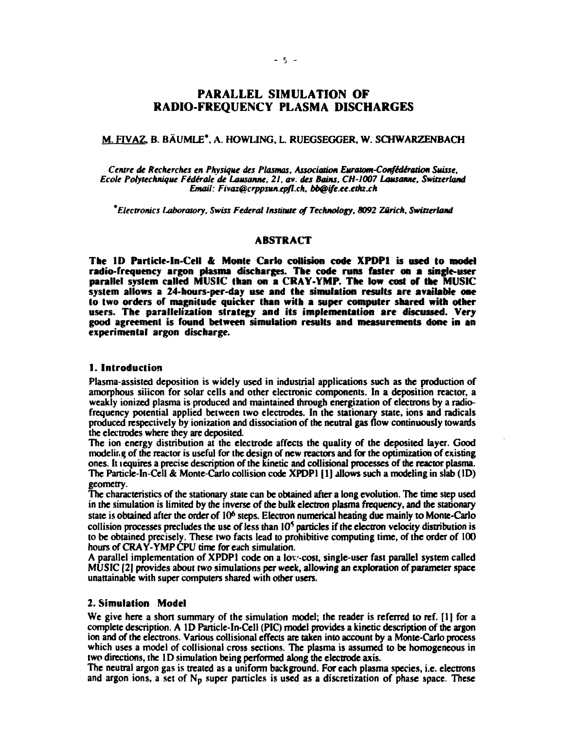### **PARALLEL SIMULATION OF RADIO-FREQUENCY PLASMA DISCHARGES**

#### M. FIVAZ. B. BAUMLE\*. A. HOWLING, L. RUEGSEGGER, W. SCHWARZENBACH

Centre de Recherches en Physique des Plasmas, Association Euratom-Confédération Suisse, *Ecole Polytechnique Fidirale de Lausanne, 21, av. des Bains, CH-I007 Lausanne, Switzerland Email: [Fivaz@crppsun.epfl.ch,](mailto:Fivaz@crppsun.epfl.ch) [bb@ife.ce.e](mailto:bb@ife.ce.etkz.ch)tkz.ch* 

*\* Electronics Laboratory, Swiss Federal Institute of Technology, 8092 Zurich, Switzerland* 

#### **ABSTRACT**

**The ID Particle-In-Cell & Monte Carlo collision code XPDP1 is used to model radio-frequency argon plasma discharges. The code runs faster on a single-user parallel system called** MUSIC **than on a CRAY-YMP. The low cost of the MUSIC**  system **allows** a **24-hours-per-day use and the simulation results are available one to two orders** of **magnitude quicker than with a super computer shared with other**  users. **The parallelization strategy and its implementation are discussed. Very good agreement is found between simulation results and measurements done in an**  experimental argon discharge.

#### **1. Introduction**

Plasma-assisted deposition is widely used in industrial applications such as the production of amorphous silicon for solar cells and other electronic components. In a deposition reactor, a weakly ionized plasma is produced and maintained through energization of electrons by a radiofrequency potential applied between two electrodes. In the stationary state, ions and radicals produced respectively by ionization and dissociation of the neutral gas flow continuously towards the electrodes where they are deposited.

The ion energy distribution at the electrode affects the quality of the deposited layer. Good modeling of the reactor is useful for the design of new reactors and for the optimization of existing ones. It lequires a precise description of the kinetic and collisional processes of the reactor plasma. The Particle-In-Cell *&* Monte-Carlo collision code XPDP1 [1] allows such a modeling in slab (ID) geometry.

The characteristics of the stationary state can be obtained after a long evolution. The time step used in the simulation is limited by the inverse of the bulk electron plasma frequency, and the stationary state is obtained after the order of 10<sup>6</sup> steps. Electron numerical heating due mainly to Monte-Carlo collision processes precludes the use of less than  $10<sup>5</sup>$  particles if the electron velocity distribution is to be obtained precisely. These two facts lead to prohibitive computing time, of the order of 100 hours of CRAY-YMP CPU time for each simulation.

A parallel implementation of XPDP1 code on a lov-cost, single-user fast parallel system called MUSIC [2] provides about two simulations per week, allowing an exploration of parameter space unattainable with super computers shared with other users.

#### 2. **Simulation Model**

We give here a short summary of the simulation model; the reader is referred to ref. [1] for a complete description. A ID Particle-In-Cell (PIC) model provides a kinetic description of the argon ion and of the electrons. Various collisional effects are taken into account by a Monte-Carlo process which uses a model of collisional cross sections. The plasma is assumed to be homogeneous in two directions, the 1D simulation being performed along the electrode axis.

The neutral argon gas is treated as a uniform background. For each plasma species, i.e. electrons and argon ions, a set of  $N_p$  super particles is used as a discretization of phase space. These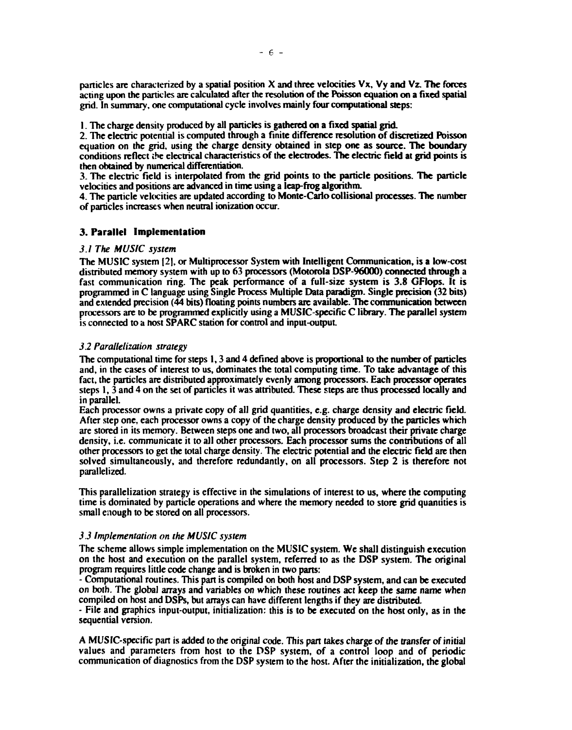**particles are characterized by a spatial position X and three velocities Vx, Vy and Vz. The forces acting upon the particles are calculated after the resolution of the Poisson equation on a fixed spatial grid. In summary, one computational cycle involves mainly four computational steps:** 

**1. The charge density produced by all particles is gathered on a fixed spatial grid.** 

**2. The electric potential is computed through a finite difference resolution of discretized Poisson equation on the grid, using the charge density obtained in step one as source. The boundary conditions reflect ihe electrical characteristics of the electrodes. The electric field at grid points is then obtained by numerical differentiation.** 

**3. The electric field is interpolated from the grid points to the particle positions. The particle velocities and positions are advanced in time using a leap-frog algorithm.** 

**4. The particle velocities are updated according to Monte-Carlo collisional processes. The number of particles increases when neutral ionization occur.** 

#### **3. Parallel Implementation**

#### *3.1 The MUSIC system*

**The MUSIC system [2|, or Multiprocessor System with Intelligent Communication, is a low-cost distributed memory system with up to 63 processors (Motorola DSP-96000) connected through a fast communication ring. The peak performance of a full-size system is 3.8 GFlops. It is programmed in C language using Single Process Multiple Data paradigm. Single precision (32 bits) and extended precision (44 bits) floating points numbers are available. The communication between processors are to be programmed explicitly using a MUSIC-specific C library. The parallel system is connected to a host SPARC station for control and input-output.** 

#### *3.2 Parallelization strategy*

**The computational time for steps 1,3 and 4 defined above is proportional to the number of particles and, in the cases of interest to us, dominates the total computing time. To take advantage of this fact, the particles are distributed approximately evenly among processors. Each processor operates steps 1,3 and 4 on the set of particles it was attributed. These steps are thus processed locally and in parallel.** 

**Each processor owns a private copy of all grid quantities, e.g. charge density and electric field. After step one, each processor owns a copy of the charge density produced by the particles which are stored in its memory. Between steps one and two, all processors broadcast their private charge density, i.e. communicate it to all other processors. Each processor sums the contributions of all other processors to get the total charge density. The electric potential and the electric field are then solved simultaneously, and therefore redundantly, on all processors. Step 2 is therefore not parallelized.** 

**This parallelization strategy is effective in the simulations of interest to us, where the computing time is dominated by particle operations and where the memory needed to store grid quantities is small enough to be stored on all processors.** 

#### *3.3 Implementation on the MUSIC system*

**The scheme allows simple implementation on the MUSIC system. We shall distinguish execution on the host and execution on the parallel system, referred to as the DSP system. The original program requires little code change and is broken in two parts:** 

**- Computational routines. This part is compiled on both host and DSP system, and can be executed on both. The global arrays and variables on which these routines act keep the same name when compiled on host and DSPs, but arrays can have different lengths if they are distributed.** 

**- File and graphics input-output, initialization: this is to be executed on the host only, as in the sequential version.** 

**A MUSIC-specific pan is added to the original code. This pan takes charge of the transfer of initial values and parameters from host to the DSP system, of a control loop and of periodic communication of diagnostics from the DSP system to the host. After the initialization, the global**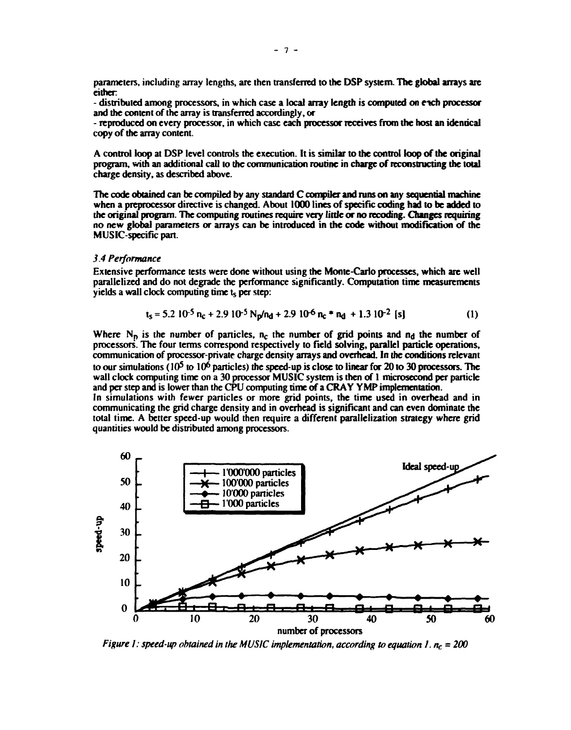**parameters, including array lengths, are then transferred to the DSP system. The global arrays are either** 

**- distributed among processors, in which case a local array length is computed on rich processor and the content of the array is transferred accordingly, or** 

**- reproduced on every processor, in which case each processor receives from the host an identical copy of the array content.** 

**A control loop at DSP level controls the execution. It is similar to the control loop of the original program, with an additional call to the communication routine in charge of reconstructing the total charge density, as described above.** 

**The code obtained can be compiled by any standard C compiler and runs on any sequential machine when a preprocessor directive is changed. About 1000 lines of specific coding had to be added to the original program. The computing routines require very little or no recoding. Changes requiring no new global parameters or arrays can be introduced in the code without modification of the MUSIC-specific part.** 

#### *3.4 Performance*

**Extensive performance tests were done without using the Monte-Carlo processes, which are well parallelized and do not degrade the performance significantly. Computation time measurements yields a wall clock computing time t<sup>s</sup> per step:** 

$$
t_s = 5.2 \, 10^{-5} \, n_c + 2.9 \, 10^{-5} \, N_p/n_d + 2.9 \, 10^{-6} \, n_c \cdot n_d + 1.3 \, 10^{-2} \, [s]
$$
 (1)

Where  $N_p$  is the number of particles,  $n_c$  the number of grid points and  $n_d$  the number of **processors. The four terms correspond respectively to field solving, parallel particle operations, communication of processor-private charge density arrays and overhead. In the conditions relevant**  to our simulations (10<sup>5</sup> to 10<sup>6</sup> particles) the speed-up is close to linear for 20 to 30 processors. The **wall clock computing time on a 30 processor MUSIC system is then of 1 microsecond per panicle and per step and is lower than the CPU computing time of a CRAY YMP implementation.**  In simulations with fewer particles or more grid points, the time used in overhead and in **communicating the grid charge density and in overhead is significant and can even dominate the total time. A better speed-up would then require a different parallelization strategy where grid quantities would be distributed among processors.** 



*Figure 1: speed-up obtained in the MUSIC implementation, according to equation 1.*  $n_c = 200$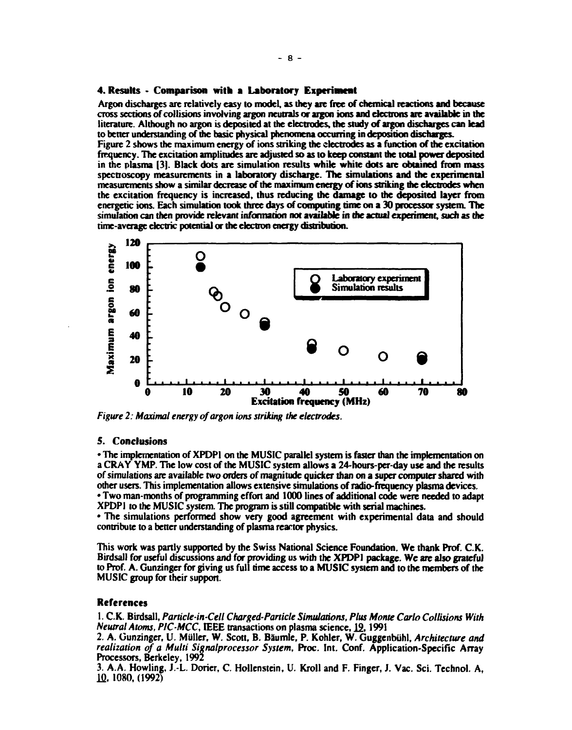#### **4. Results - Comparison with a Laboratory Experiment**

**Argon discharges are relatively easy to model, as they are free of chemical reactions and because cross sections of collisions involving argon neutrals or argon ions and electrons are available in the literature. Although no argon is deposited at the electrodes, the study of argon discharges can lead to better understanding of the basic physical phenomena occurring in deposition discharges.** 

**Figure 2 shows the maximum energy of ions striking the electrodes as a function of the excitation frequency. The excitation amplitudes are adjusted so as to keep constant die total power deposited in the plasma [3]. Black dots are simulation results while white dots are obtained from mass spectroscopy measurements in a laboratory discharge. The simulations and the experimental measurements show a similar decrease of the maximum energy of ions striking the electrodes when the excitation frequency is increased, thus reducing the damage to the deposited layer from energetic ions. Each simulation took three days of computing time on a 30 processor system. The simulation can then provide relevant information not available in die actual experiment, such as the time-average electric potential or the electron energy distribution.** 



*Figure 2: Maximal energy of argon ions striking the electrodes.* 

#### **5. Conclusions**

**• The implementation of XPDP1 on the MUSIC parallel system is faster than the implementation on a CRAY YMP. The low cost of the MUSIC system allows a 24-hours-per-day use and the results of simulations are available two orders of magnitude quicker than on a super computer shared with other users. This implementation allows extensive simulations of radio-frequency plasma devices. • Two man-months of programming effort and 1000 lines of additional code were needed to adapt** 

**XPDPI to the MUSIC system. The program is still compatible with serial machines. • The simulations performed show very good agreement with experimental data and should** 

**contribute to a better understanding of plasma reactor physics.** 

**This work was partly supported by the Swiss National Science Foundation. We thank Prof. C.K. Birdsall for useful discussions and for providing us with the XPDPI package. We are also grateful to Prof. A. Gunzinger for giving us full time access to a MUSIC system and to the members of the MUSIC group for their support.** 

#### **References**

**1. C.K. Birdsall,** *Particle-in-Cell Charged-Particle Simulations, Plus Monte Carlo Collisions With Neutral Atoms, PIC-MCC,* **IEEE transactions on plasma science, 12,1991** 

2. A. Gunzinger, U. Müller, W. Scott, B. Bäumle, P. Kohler, W. Guggenbühl, Architecture and *realization of a Multi Signalprocessor System,* **Proc. Int. Conf. Application-Specific Array Processors, Berkeley, 1992** 

**3. A.A. Howling, J.-L. Dorier, C. Hollenstein, U. Kroll and F. Finger, J. Vac. Sci. Technol. A, lfl, 1080, (1992)**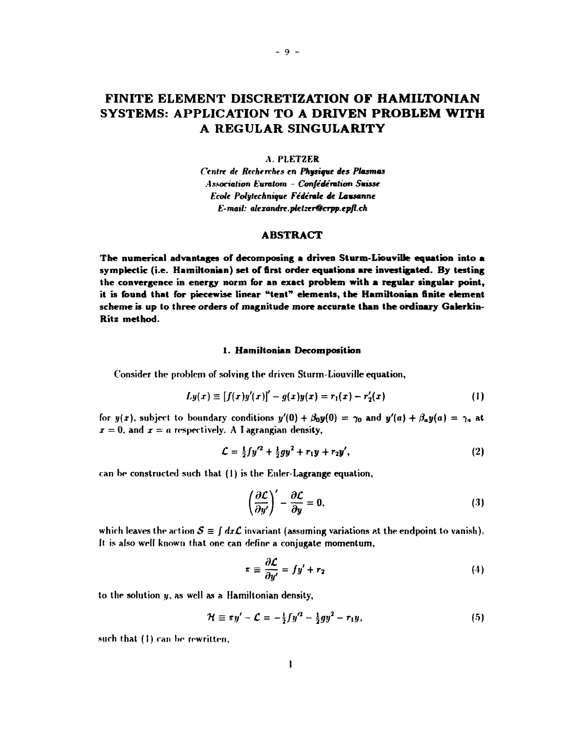## **FINITE ELEMENT DISCRETIZATION OF HAMILTONIAN SYSTEMS: APPLICATION TO A DRIVEN PROBLEM WITH A REGULAR SINGULARITY**

#### A.PLETZER

*Centre de Recherches en Physique des Plasmas Association Euralom - Confederation Suisse Ecole Poll/technique Federate de Lausanne E-mail: [alexandre.pletzer@crpp.epfl.](mailto:alexandre.pletzer@crpp.epfl.ch)ch* 

#### **ABSTRACT**

The numerical advantages of decomposing a driven Sturm-Liouville equation into a **symplectic (i.e. Hamiltonian) set of first order equations are investigated. By testing the convergence in energy norm for an exact problem with a regular singular point, it is found that for piecewise linear "tent" elements, the Hamiltonian finite element scheme is up to three orders of magnitude more accurate than the ordinary Galerkin-Ritz method.** 

#### **1. Hamiltonian Decomposition**

Consider the problem of solving the driven Sturm-Liouville equation,

$$
Ly(x) \equiv [f(x)y'(x)]' - g(x)y(x) = r_1(x) - r'_2(x)
$$
 (1)

for  $y(x)$ , subject to boundary conditions  $y'(0) + \beta_0 y(0) = \gamma_0$  and  $y'(a) + \beta_a y(a) = \gamma_a$  at  $x = 0$ , and  $x = a$  respectively. A I agrangian density,

$$
\mathcal{L} = \frac{1}{2} f y'^2 + \frac{1}{2} g y^2 + r_1 y + r_2 y', \qquad (2)
$$

can be constructed such that (1) is the Euler-Lagrange equation,

$$
\left(\frac{\partial \mathcal{L}}{\partial y'}\right)' - \frac{\partial \mathcal{L}}{\partial y} = 0, \tag{3}
$$

which leaves the action  $S \equiv \int dx \mathcal{L}$  invariant (assuming variations at the endpoint to vanish). It is also well known that one can define a conjugate momentum,

$$
\pi \equiv \frac{\partial \mathcal{L}}{\partial y'} = fy' + r_2 \tag{4}
$$

to the solution  $y$ , as well as a Hamiltonian density,

$$
\mathcal{H} \equiv \pi y' - \mathcal{L} = -\frac{1}{2} f y'^2 - \frac{1}{2} g y^2 - r_1 y, \qquad (5)
$$

such that (1) can be rewritten,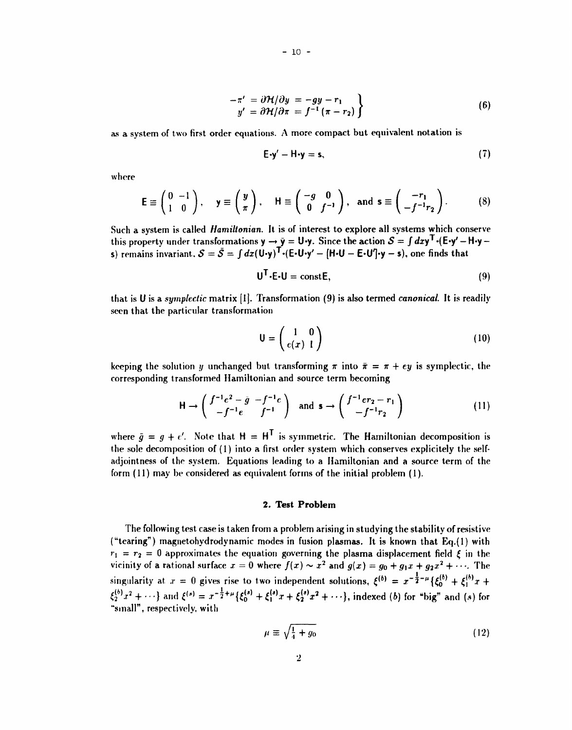$$
-\pi' = \partial \mathcal{H}/\partial y = -gy - r_1
$$
  
\n
$$
y' = \partial \mathcal{H}/\partial \pi = f^{-1}(\pi - r_2)
$$
\n(6)

as a system of two first order equations. A more compact but equivalent notation is

**- 10 -**

$$
E-y'-H-y=s,\t(7)
$$

where

$$
\mathsf{E} \equiv \begin{pmatrix} 0 & -1 \\ 1 & 0 \end{pmatrix}, \quad \mathsf{y} \equiv \begin{pmatrix} y \\ \pi \end{pmatrix}, \quad \mathsf{H} \equiv \begin{pmatrix} -g & 0 \\ 0 & f^{-1} \end{pmatrix}, \text{ and } \mathsf{s} \equiv \begin{pmatrix} -r_1 \\ -f^{-1}r_2 \end{pmatrix}.
$$
 (8)

Such a system is called *Hamiltonian.* It is of interest to explore all systems which conserve this property under transformations  $y \to \bar{y} = U \cdot y$ . Since the action  $\mathcal{S} = \int dx y^{\sf T} \cdot (E \cdot y' - H \cdot y - E \cdot y')$ s) remains invariant,  $S = \bar{S} = \int dx (U \cdot y)^T \cdot (E \cdot U \cdot y' - [H \cdot U - E \cdot U'] \cdot y - s)$ , one finds that

$$
\mathbf{U}^{\mathsf{T}} \cdot \mathbf{E} \cdot \mathbf{U} = \text{const} \, \mathbf{E},\tag{9}
$$

that is U is a *sympkctic* matrix [I]. Transformation (9) is also termed *canonical.* It is readily seen that the particular transformation

$$
\mathsf{U} = \left(\begin{array}{cc} 1 & 0 \\ e(x) & 1 \end{array}\right) \tag{10}
$$

keeping the solution y unchanged but transforming  $\pi$  into  $\bar{\pi} = \pi + \epsilon y$  is symplectic, the corresponding transformed Hamiltonian and source term becoming

$$
\mathsf{H} \to \begin{pmatrix} f^{-1}e^2 - \bar{g} & -f^{-1}e \\ -f^{-1}e & f^{-1} \end{pmatrix} \quad \text{and} \quad \mathsf{s} \to \begin{pmatrix} f^{-1}er_2 - r_1 \\ -f^{-1}r_2 \end{pmatrix} \tag{11}
$$

where  $\bar{q} = q + e'$ . Note that  $H = H^T$  is symmetric. The Hamiltonian decomposition is the sole decomposition of (1) into a first order system which conserves explicitely the selfadjointness of the system. Equations leading to a Hamiltonian and a source term of the form (11) may be considered as equivalent forms of the initial problem (1).

#### **2. Test Problem**

The following test case is taken from a problem arising in studying the stability of resistive ("tearing") magnetohydrodynamic modes in fusion plasmas. It is known that Eq.(l) with  $r_1 = r_2 = 0$  approximates the equation governing the plasma displacement field  $\xi$  in the vicinity of a rational surface  $x = 0$  where  $f(x) \sim x^2$  and  $g(x) = g_0 + g_1 x + g_2 x^2 + \cdots$ . The singularity at  $x = 0$  gives rise to two independent solutions,  $\xi^{(b)} = x^{-\frac{1}{2}-\mu} {\xi_0^{(b)} + \xi_1^{(b)}x + \xi_2^{(b)}x}$  $\{\xi_2^{(s)}x^2 + \cdots\}$  and  $\xi^{(s)} = x^{-\frac{1}{2} + \mu} \{\xi_0^{(s)} + \xi_1^{(s)}x + \xi_2^{(s)}x^2 + \cdots\}$ , indexed (b) for "big" and (s) for "small", respectively, with

$$
\mu \equiv \sqrt{\frac{1}{4} + g_0} \tag{12}
$$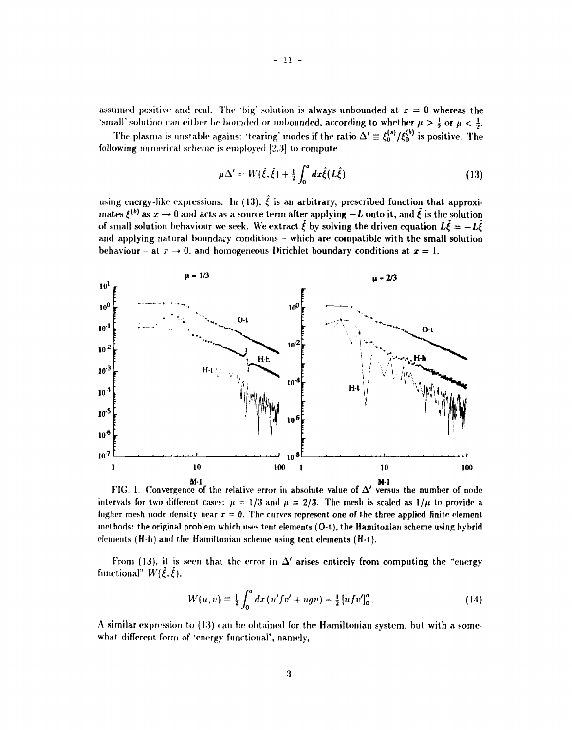assumed positive and real. The 'big' solution is always unbounded at  $x = 0$  whereas the 'small' solution can either be bounded or unbounded, according to whether  $\mu > \frac{1}{2}$  or  $\mu < \frac{1}{2}$ .

The plasma is unstable against 'tearing' modes if the ratio  $\Delta' \equiv \xi_0^{(s)}/\xi_0^{(b)}$  is positive. The following numerical scheme is employed [2.3] to compute

$$
\mu \Delta' = W(\dot{\xi}, \dot{\xi}) + \frac{1}{2} \int_0^a dx \hat{\xi}(L\hat{\xi})
$$
 (13)

using energy-like expressions. In (13),  $\hat{\xi}$  is an arbitrary, prescribed function that approximates  $\xi^{(b)}$  as  $x \to 0$  and acts as a source term after applying  $-L$  onto it, and  $\xi$  is the solution of small solution behaviour we seek. We extract  $\zeta$  by solving the driven equation  $L\zeta = -L\zeta$ and applying natural boundary conditions - which are compatible with the small solution behaviour - at  $x \to 0$ , and homogeneous Dirichlet boundary conditions at  $x = 1$ .



FIG. 1. Convergence of the relative error in absolute value of A' versus the number of node intervals for two different cases:  $\mu = 1/3$  and  $\mu = 2/3$ . The mesh is scaled as  $1/\mu$  to provide a higher mesh node density near  $x = 0$ . The curves represent one of the three applied finite element methods: the original problem which uses tent elements (O-t), the Hamitonian scheme using hybrid elements (H-h) and the Hamiltonian scheme using tent elements (H-t).

From (13), it is seen that the error in  $\Delta'$  arises entirely from computing the "energy functional"  $W(\xi, \xi)$ ,

$$
W(u,v) \equiv \frac{1}{2} \int_0^a dx (u'fv' + ugv) - \frac{1}{2} [ufv']_0^a.
$$
 (14)

A similar expression to (13) can be obtained for the Hamiltonian system, but with a somewhat different form of 'energy functional', namely,